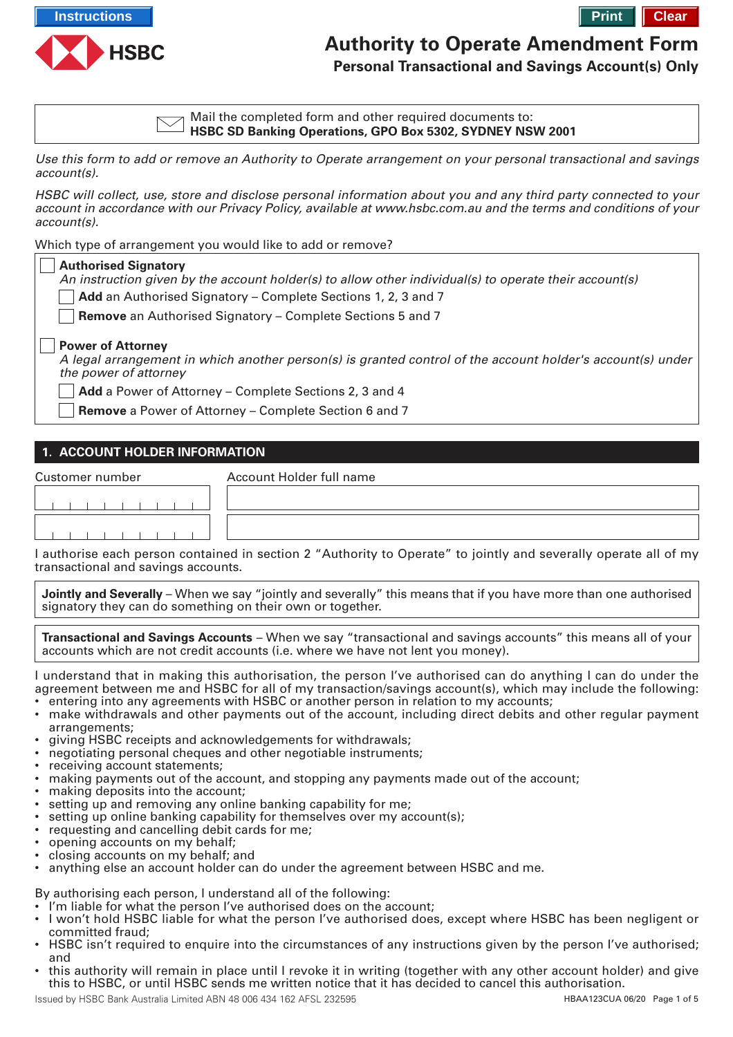



# **Authority to Operate Amendment Form**

**Personal Transactional and Savings Account(s) Only**

Mail the completed form and other required documents to: **HSBC SD Banking Operations, GPO Box 5302, SYDNEY NSW 2001**

Use this form to add or remove an Authority to Operate arrangement on your personal transactional and savings account(s).

HSBC will collect, use, store and disclose personal information about you and any third party connected to your account in accordance with our Privacy Policy, available at www.hsbc.com.au and the terms and conditions of your account(s).

Which type of arrangement you would like to add or remove?

| <b>△ Authorised Signatory</b> |  |
|-------------------------------|--|
|-------------------------------|--|

An instruction given by the account holder(s) to allow other individual(s) to operate their account(s)

**Add** an Authorised Signatory – Complete Sections 1, 2, 3 and 7

**Remove** an Authorised Signatory – Complete Sections 5 and 7

#### **Power of Attorney**

A legal arrangement in which another person(s) is granted control of the account holder's account(s) under the power of attorney

**Add** a Power of Attorney – Complete Sections 2, 3 and 4

**Remove** a Power of Attorney – Complete Section 6 and 7

# **1. ACCOUNT HOLDER INFORMATION**

Customer number Account Holder full name

I authorise each person contained in section 2 "Authority to Operate" to jointly and severally operate all of my transactional and savings accounts.

**Jointly and Severally** – When we say "jointly and severally" this means that if you have more than one authorised signatory they can do something on their own or together.

**Transactional and Savings Accounts** – When we say "transactional and savings accounts" this means all of your accounts which are not credit accounts (i.e. where we have not lent you money).

I understand that in making this authorisation, the person I've authorised can do anything I can do under the agreement between me and HSBC for all of my transaction/savings account(s), which may include the following: • entering into any agreements with HSBC or another person in relation to my accounts;

- make withdrawals and other payments out of the account, including direct debits and other regular payment arrangements;
- giving HSBC receipts and acknowledgements for withdrawals;
- negotiating personal cheques and other negotiable instruments;
- receiving account statements;
- making payments out of the account, and stopping any payments made out of the account;
- making deposits into the account;
- setting up and removing any online banking capability for me;
- setting up online banking capability for themselves over my account(s);
- requesting and cancelling debit cards for me;
- opening accounts on my behalf;
- closing accounts on my behalf; and
- anything else an account holder can do under the agreement between HSBC and me.

By authorising each person, I understand all of the following:

- I'm liable for what the person I've authorised does on the account;
- I won't hold HSBC liable for what the person I've authorised does, except where HSBC has been negligent or committed fraud;
- HSBC isn't required to enquire into the circumstances of any instructions given by the person I've authorised; and
- this authority will remain in place until I revoke it in writing (together with any other account holder) and give this to HSBC, or until HSBC sends me written notice that it has decided to cancel this authorisation.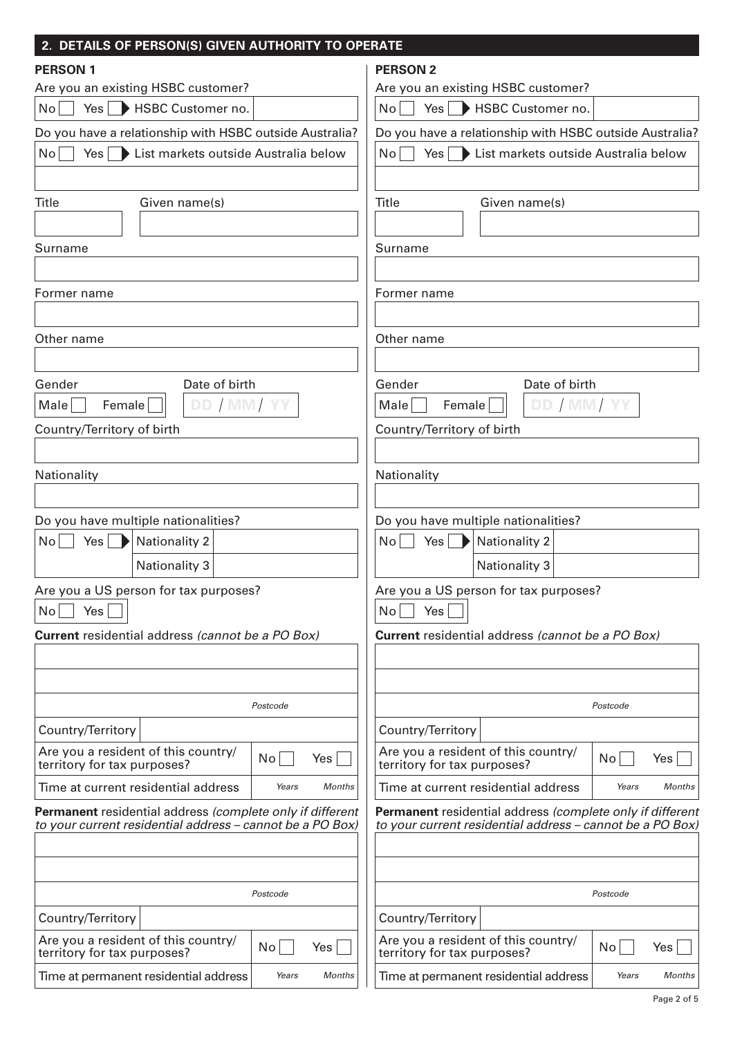| <b>PERSON 2</b><br>Are you an existing HSBC customer?<br>Yes   HSBC Customer no.<br>Yes   HSBC Customer no.<br>No<br>$No$    <br>Do you have a relationship with HSBC outside Australia?<br>List markets outside Australia below<br>Yes List markets outside Australia below<br>No<br>Yes $ $<br>No <sub>1</sub><br><b>Title</b><br>Given name(s)<br>Given name(s)<br>Surname<br>Former name<br>Other name<br>Date of birth<br>Date of birth<br>Gender<br>DD / MM/YY<br>DD / MM/YY<br>Female<br>Female<br>Male<br>$Male \vert$<br>Country/Territory of birth<br>Nationality<br>Do you have multiple nationalities?<br><b>Nationality 2</b><br><b>Nationality 2</b><br>No <sub>1</sub><br>Yes $ $<br>$\rightarrow$<br>No <sub>1</sub><br>$Yes \rightarrow$<br>Nationality 3<br><b>Nationality 3</b><br>Are you a US person for tax purposes?<br>Are you a US person for tax purposes?<br>Yes<br>No<br>Yes<br>No <sub>1</sub><br>Current residential address (cannot be a PO Box)<br>Postcode<br>Postcode<br>Country/Territory<br>Country/Territory<br>Are you a resident of this country/<br>Are you a resident of this country/<br>No <sub>1</sub><br>$Yes \mid$<br>No <sub>1</sub><br>Yes $ $<br>territory for tax purposes?<br>territory for tax purposes?<br>Time at current residential address<br>Time at current residential address<br>Years<br><b>Months</b><br>Years<br><b>Months</b><br>Postcode<br>Postcode<br>Country/Territory<br>Country/Territory<br>Are you a resident of this country/<br>Are you a resident of this country/<br>No <sub>1</sub><br>Yes<br>No <sub>1</sub><br>Yes  <br>territory for tax purposes?<br>territory for tax purposes?<br>Time at permanent residential address<br>Years<br><b>Months</b><br>Years<br><b>Months</b><br>Time at permanent residential address | 2. DETAILS OF PERSON(S) GIVEN AUTHORITY TO OPERATE                                                                            |  |
|----------------------------------------------------------------------------------------------------------------------------------------------------------------------------------------------------------------------------------------------------------------------------------------------------------------------------------------------------------------------------------------------------------------------------------------------------------------------------------------------------------------------------------------------------------------------------------------------------------------------------------------------------------------------------------------------------------------------------------------------------------------------------------------------------------------------------------------------------------------------------------------------------------------------------------------------------------------------------------------------------------------------------------------------------------------------------------------------------------------------------------------------------------------------------------------------------------------------------------------------------------------------------------------------------------------------------------------------------------------------------------------------------------------------------------------------------------------------------------------------------------------------------------------------------------------------------------------------------------------------------------------------------------------------------------------------------------------------------------------------------------------------------------------------------------|-------------------------------------------------------------------------------------------------------------------------------|--|
|                                                                                                                                                                                                                                                                                                                                                                                                                                                                                                                                                                                                                                                                                                                                                                                                                                                                                                                                                                                                                                                                                                                                                                                                                                                                                                                                                                                                                                                                                                                                                                                                                                                                                                                                                                                                          | <b>PERSON 1</b>                                                                                                               |  |
|                                                                                                                                                                                                                                                                                                                                                                                                                                                                                                                                                                                                                                                                                                                                                                                                                                                                                                                                                                                                                                                                                                                                                                                                                                                                                                                                                                                                                                                                                                                                                                                                                                                                                                                                                                                                          | Are you an existing HSBC customer?                                                                                            |  |
|                                                                                                                                                                                                                                                                                                                                                                                                                                                                                                                                                                                                                                                                                                                                                                                                                                                                                                                                                                                                                                                                                                                                                                                                                                                                                                                                                                                                                                                                                                                                                                                                                                                                                                                                                                                                          |                                                                                                                               |  |
|                                                                                                                                                                                                                                                                                                                                                                                                                                                                                                                                                                                                                                                                                                                                                                                                                                                                                                                                                                                                                                                                                                                                                                                                                                                                                                                                                                                                                                                                                                                                                                                                                                                                                                                                                                                                          | Do you have a relationship with HSBC outside Australia?                                                                       |  |
|                                                                                                                                                                                                                                                                                                                                                                                                                                                                                                                                                                                                                                                                                                                                                                                                                                                                                                                                                                                                                                                                                                                                                                                                                                                                                                                                                                                                                                                                                                                                                                                                                                                                                                                                                                                                          |                                                                                                                               |  |
|                                                                                                                                                                                                                                                                                                                                                                                                                                                                                                                                                                                                                                                                                                                                                                                                                                                                                                                                                                                                                                                                                                                                                                                                                                                                                                                                                                                                                                                                                                                                                                                                                                                                                                                                                                                                          |                                                                                                                               |  |
|                                                                                                                                                                                                                                                                                                                                                                                                                                                                                                                                                                                                                                                                                                                                                                                                                                                                                                                                                                                                                                                                                                                                                                                                                                                                                                                                                                                                                                                                                                                                                                                                                                                                                                                                                                                                          | <b>Title</b>                                                                                                                  |  |
|                                                                                                                                                                                                                                                                                                                                                                                                                                                                                                                                                                                                                                                                                                                                                                                                                                                                                                                                                                                                                                                                                                                                                                                                                                                                                                                                                                                                                                                                                                                                                                                                                                                                                                                                                                                                          |                                                                                                                               |  |
|                                                                                                                                                                                                                                                                                                                                                                                                                                                                                                                                                                                                                                                                                                                                                                                                                                                                                                                                                                                                                                                                                                                                                                                                                                                                                                                                                                                                                                                                                                                                                                                                                                                                                                                                                                                                          | Surname                                                                                                                       |  |
|                                                                                                                                                                                                                                                                                                                                                                                                                                                                                                                                                                                                                                                                                                                                                                                                                                                                                                                                                                                                                                                                                                                                                                                                                                                                                                                                                                                                                                                                                                                                                                                                                                                                                                                                                                                                          |                                                                                                                               |  |
|                                                                                                                                                                                                                                                                                                                                                                                                                                                                                                                                                                                                                                                                                                                                                                                                                                                                                                                                                                                                                                                                                                                                                                                                                                                                                                                                                                                                                                                                                                                                                                                                                                                                                                                                                                                                          | Former name                                                                                                                   |  |
|                                                                                                                                                                                                                                                                                                                                                                                                                                                                                                                                                                                                                                                                                                                                                                                                                                                                                                                                                                                                                                                                                                                                                                                                                                                                                                                                                                                                                                                                                                                                                                                                                                                                                                                                                                                                          |                                                                                                                               |  |
|                                                                                                                                                                                                                                                                                                                                                                                                                                                                                                                                                                                                                                                                                                                                                                                                                                                                                                                                                                                                                                                                                                                                                                                                                                                                                                                                                                                                                                                                                                                                                                                                                                                                                                                                                                                                          | Other name                                                                                                                    |  |
|                                                                                                                                                                                                                                                                                                                                                                                                                                                                                                                                                                                                                                                                                                                                                                                                                                                                                                                                                                                                                                                                                                                                                                                                                                                                                                                                                                                                                                                                                                                                                                                                                                                                                                                                                                                                          |                                                                                                                               |  |
|                                                                                                                                                                                                                                                                                                                                                                                                                                                                                                                                                                                                                                                                                                                                                                                                                                                                                                                                                                                                                                                                                                                                                                                                                                                                                                                                                                                                                                                                                                                                                                                                                                                                                                                                                                                                          | Gender                                                                                                                        |  |
|                                                                                                                                                                                                                                                                                                                                                                                                                                                                                                                                                                                                                                                                                                                                                                                                                                                                                                                                                                                                                                                                                                                                                                                                                                                                                                                                                                                                                                                                                                                                                                                                                                                                                                                                                                                                          |                                                                                                                               |  |
|                                                                                                                                                                                                                                                                                                                                                                                                                                                                                                                                                                                                                                                                                                                                                                                                                                                                                                                                                                                                                                                                                                                                                                                                                                                                                                                                                                                                                                                                                                                                                                                                                                                                                                                                                                                                          | Country/Territory of birth                                                                                                    |  |
|                                                                                                                                                                                                                                                                                                                                                                                                                                                                                                                                                                                                                                                                                                                                                                                                                                                                                                                                                                                                                                                                                                                                                                                                                                                                                                                                                                                                                                                                                                                                                                                                                                                                                                                                                                                                          |                                                                                                                               |  |
|                                                                                                                                                                                                                                                                                                                                                                                                                                                                                                                                                                                                                                                                                                                                                                                                                                                                                                                                                                                                                                                                                                                                                                                                                                                                                                                                                                                                                                                                                                                                                                                                                                                                                                                                                                                                          | Nationality                                                                                                                   |  |
|                                                                                                                                                                                                                                                                                                                                                                                                                                                                                                                                                                                                                                                                                                                                                                                                                                                                                                                                                                                                                                                                                                                                                                                                                                                                                                                                                                                                                                                                                                                                                                                                                                                                                                                                                                                                          |                                                                                                                               |  |
|                                                                                                                                                                                                                                                                                                                                                                                                                                                                                                                                                                                                                                                                                                                                                                                                                                                                                                                                                                                                                                                                                                                                                                                                                                                                                                                                                                                                                                                                                                                                                                                                                                                                                                                                                                                                          | Do you have multiple nationalities?                                                                                           |  |
|                                                                                                                                                                                                                                                                                                                                                                                                                                                                                                                                                                                                                                                                                                                                                                                                                                                                                                                                                                                                                                                                                                                                                                                                                                                                                                                                                                                                                                                                                                                                                                                                                                                                                                                                                                                                          |                                                                                                                               |  |
|                                                                                                                                                                                                                                                                                                                                                                                                                                                                                                                                                                                                                                                                                                                                                                                                                                                                                                                                                                                                                                                                                                                                                                                                                                                                                                                                                                                                                                                                                                                                                                                                                                                                                                                                                                                                          |                                                                                                                               |  |
|                                                                                                                                                                                                                                                                                                                                                                                                                                                                                                                                                                                                                                                                                                                                                                                                                                                                                                                                                                                                                                                                                                                                                                                                                                                                                                                                                                                                                                                                                                                                                                                                                                                                                                                                                                                                          |                                                                                                                               |  |
| Permanent residential address (complete only if different<br>to your current residential address - cannot be a PO Box)                                                                                                                                                                                                                                                                                                                                                                                                                                                                                                                                                                                                                                                                                                                                                                                                                                                                                                                                                                                                                                                                                                                                                                                                                                                                                                                                                                                                                                                                                                                                                                                                                                                                                   |                                                                                                                               |  |
|                                                                                                                                                                                                                                                                                                                                                                                                                                                                                                                                                                                                                                                                                                                                                                                                                                                                                                                                                                                                                                                                                                                                                                                                                                                                                                                                                                                                                                                                                                                                                                                                                                                                                                                                                                                                          | Current residential address (cannot be a PO Box)                                                                              |  |
|                                                                                                                                                                                                                                                                                                                                                                                                                                                                                                                                                                                                                                                                                                                                                                                                                                                                                                                                                                                                                                                                                                                                                                                                                                                                                                                                                                                                                                                                                                                                                                                                                                                                                                                                                                                                          |                                                                                                                               |  |
|                                                                                                                                                                                                                                                                                                                                                                                                                                                                                                                                                                                                                                                                                                                                                                                                                                                                                                                                                                                                                                                                                                                                                                                                                                                                                                                                                                                                                                                                                                                                                                                                                                                                                                                                                                                                          |                                                                                                                               |  |
|                                                                                                                                                                                                                                                                                                                                                                                                                                                                                                                                                                                                                                                                                                                                                                                                                                                                                                                                                                                                                                                                                                                                                                                                                                                                                                                                                                                                                                                                                                                                                                                                                                                                                                                                                                                                          |                                                                                                                               |  |
|                                                                                                                                                                                                                                                                                                                                                                                                                                                                                                                                                                                                                                                                                                                                                                                                                                                                                                                                                                                                                                                                                                                                                                                                                                                                                                                                                                                                                                                                                                                                                                                                                                                                                                                                                                                                          |                                                                                                                               |  |
|                                                                                                                                                                                                                                                                                                                                                                                                                                                                                                                                                                                                                                                                                                                                                                                                                                                                                                                                                                                                                                                                                                                                                                                                                                                                                                                                                                                                                                                                                                                                                                                                                                                                                                                                                                                                          |                                                                                                                               |  |
|                                                                                                                                                                                                                                                                                                                                                                                                                                                                                                                                                                                                                                                                                                                                                                                                                                                                                                                                                                                                                                                                                                                                                                                                                                                                                                                                                                                                                                                                                                                                                                                                                                                                                                                                                                                                          |                                                                                                                               |  |
|                                                                                                                                                                                                                                                                                                                                                                                                                                                                                                                                                                                                                                                                                                                                                                                                                                                                                                                                                                                                                                                                                                                                                                                                                                                                                                                                                                                                                                                                                                                                                                                                                                                                                                                                                                                                          | <b>Permanent</b> residential address (complete only if different<br>to your current residential address - cannot be a PO Box) |  |
|                                                                                                                                                                                                                                                                                                                                                                                                                                                                                                                                                                                                                                                                                                                                                                                                                                                                                                                                                                                                                                                                                                                                                                                                                                                                                                                                                                                                                                                                                                                                                                                                                                                                                                                                                                                                          |                                                                                                                               |  |
|                                                                                                                                                                                                                                                                                                                                                                                                                                                                                                                                                                                                                                                                                                                                                                                                                                                                                                                                                                                                                                                                                                                                                                                                                                                                                                                                                                                                                                                                                                                                                                                                                                                                                                                                                                                                          |                                                                                                                               |  |
|                                                                                                                                                                                                                                                                                                                                                                                                                                                                                                                                                                                                                                                                                                                                                                                                                                                                                                                                                                                                                                                                                                                                                                                                                                                                                                                                                                                                                                                                                                                                                                                                                                                                                                                                                                                                          |                                                                                                                               |  |
|                                                                                                                                                                                                                                                                                                                                                                                                                                                                                                                                                                                                                                                                                                                                                                                                                                                                                                                                                                                                                                                                                                                                                                                                                                                                                                                                                                                                                                                                                                                                                                                                                                                                                                                                                                                                          |                                                                                                                               |  |
|                                                                                                                                                                                                                                                                                                                                                                                                                                                                                                                                                                                                                                                                                                                                                                                                                                                                                                                                                                                                                                                                                                                                                                                                                                                                                                                                                                                                                                                                                                                                                                                                                                                                                                                                                                                                          |                                                                                                                               |  |
|                                                                                                                                                                                                                                                                                                                                                                                                                                                                                                                                                                                                                                                                                                                                                                                                                                                                                                                                                                                                                                                                                                                                                                                                                                                                                                                                                                                                                                                                                                                                                                                                                                                                                                                                                                                                          |                                                                                                                               |  |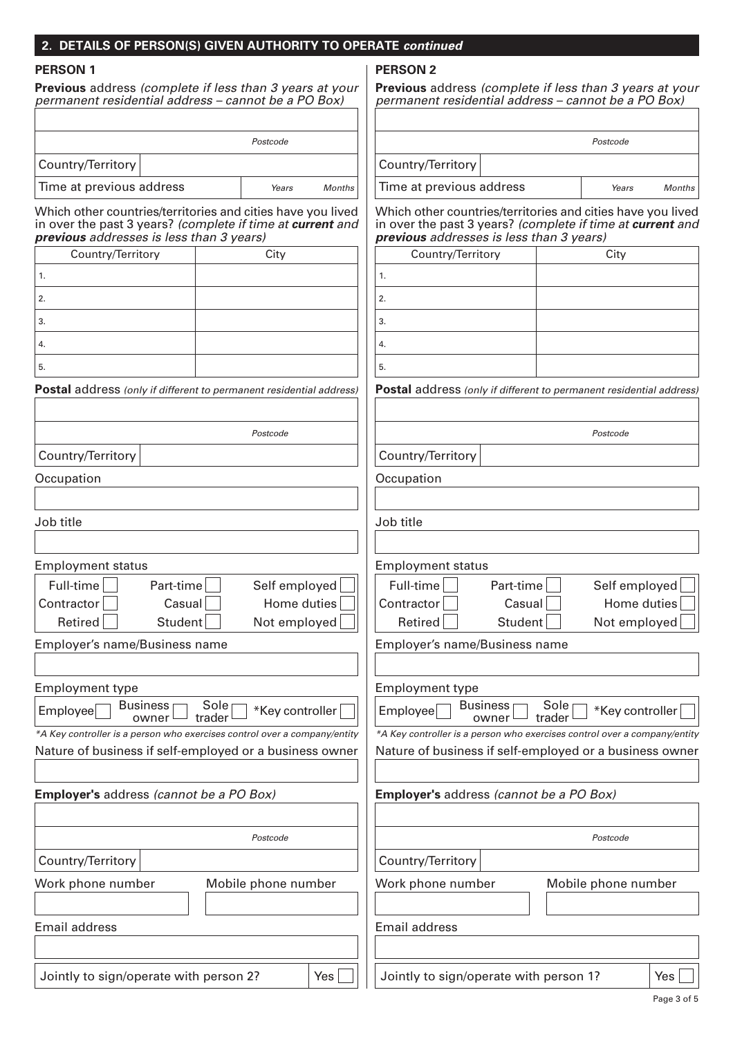#### **2. DETAILS OF PERSON(S) GIVEN AUTHORITY TO OPERATE continued**

#### **PERSON 1**

Job title

**Occupation** 

Country/Territory

Employment status

 $Full-time$  Part-time

**Previous** address (complete if less than 3 years at your permanent residential address – cannot be a PO Box)

|                          | Postcode |        |
|--------------------------|----------|--------|
| Country/Territory        |          |        |
| Time at previous address | Years    | Months |

Which other countries/territories and cities have you lived in over the past 3 years? (complete if time at **current** and **previous** addresses is less than 3 years)

| Country/Territory | City |
|-------------------|------|
| 1.                |      |
| 2.                |      |
| 3.                |      |
| 4.                |      |
| 5.                |      |

**Postal** address (only if different to permanent residential address)

Casual

Contractor | Casual | Home duties

#### **PERSON 2**

**Previous** address (complete if less than 3 years at your permanent residential address – cannot be a PO Box)

|                          | Postcode |        |
|--------------------------|----------|--------|
| Country/Territory        |          |        |
| Time at previous address | Years    | Months |

Which other countries/territories and cities have you lived in over the past 3 years? (complete if time at **current** and **previous** addresses is less than 3 years)

| Country/Territory | ri+                                                                 |
|-------------------|---------------------------------------------------------------------|
| 1.                |                                                                     |
| 2.                |                                                                     |
| 3.                |                                                                     |
| 4.                |                                                                     |
| 5.                |                                                                     |
|                   | Postal address (only if different to permanent residential address) |

Postcode

Country/Territory

**Occupation** 

Job title

Employment status

| Lilipio ylilolit otutuo |                                    |               |
|-------------------------|------------------------------------|---------------|
| Full-time               | $Part-time$                        | Self employed |
| $Contractor$            | Casual                             | Home duties   |
| .                       | $\sim$ $\sim$ $\sim$ $\sim$ $\sim$ |               |

Retired | Student | Not employed

| Retired                                        | Not employed<br>Student                                                   | Retired<br>Student                                                        | Not employed                               |     |
|------------------------------------------------|---------------------------------------------------------------------------|---------------------------------------------------------------------------|--------------------------------------------|-----|
| Employer's name/Business name                  |                                                                           | Employer's name/Business name                                             |                                            |     |
|                                                |                                                                           |                                                                           |                                            |     |
| <b>Employment type</b>                         |                                                                           | <b>Employment type</b>                                                    |                                            |     |
| Business <sub>1</sub><br>Employee<br>owner     | Sole $\Gamma$<br>*Key controller<br>trader                                | Business <sub>1</sub><br>Employee <sup>[</sup><br>owner                   | Sole $\Gamma$<br>*Key controller<br>trader |     |
|                                                | *A Key controller is a person who exercises control over a company/entity | *A Key controller is a person who exercises control over a company/entity |                                            |     |
|                                                | Nature of business if self-employed or a business owner                   | Nature of business if self-employed or a business owner                   |                                            |     |
|                                                |                                                                           |                                                                           |                                            |     |
| <b>Employer's</b> address (cannot be a PO Box) |                                                                           | <b>Employer's</b> address (cannot be a PO Box)                            |                                            |     |
|                                                |                                                                           |                                                                           |                                            |     |
|                                                | Postcode                                                                  |                                                                           | Postcode                                   |     |
| Country/Territory                              |                                                                           | Country/Territory                                                         |                                            |     |
| Work phone number                              | Mobile phone number                                                       | Work phone number                                                         | Mobile phone number                        |     |
|                                                |                                                                           |                                                                           |                                            |     |
| Email address                                  |                                                                           | Email address                                                             |                                            |     |
|                                                |                                                                           |                                                                           |                                            |     |
| Jointly to sign/operate with person 2?         | Yes                                                                       | Jointly to sign/operate with person 1?                                    |                                            | Yes |

Self employed

Postcode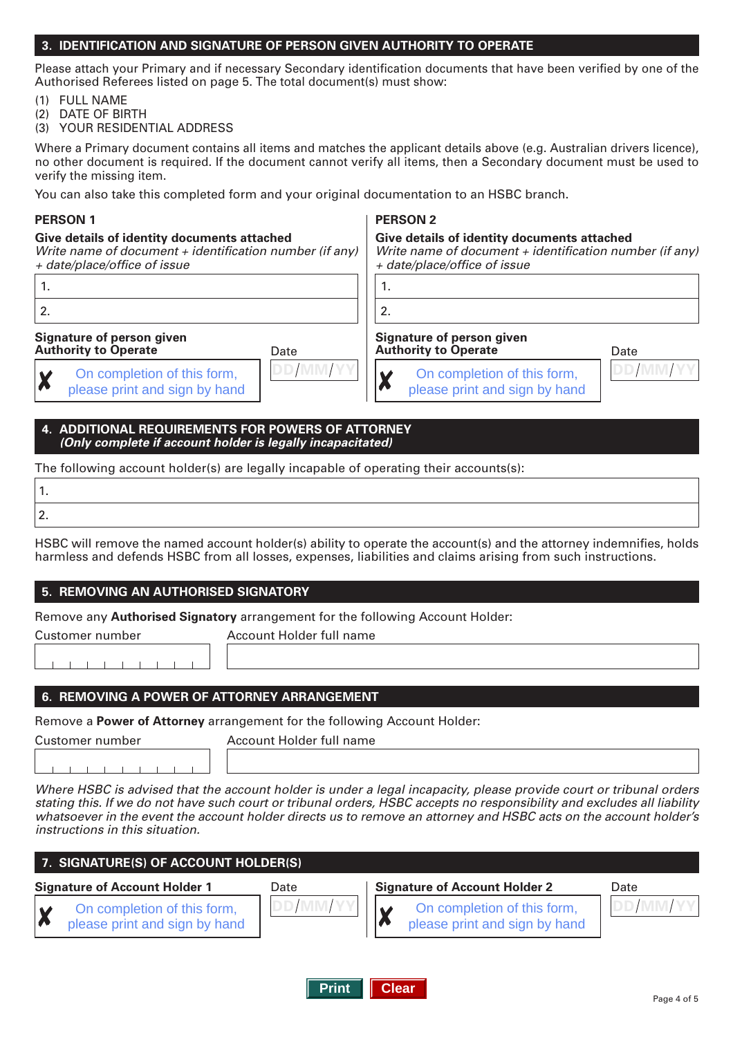## **3. IDENTIFICATION AND SIGNATURE OF PERSON GIVEN AUTHORITY TO OPERATE**

Please attach your Primary and if necessary Secondary identification documents that have been verified by one of the Authorised Referees listed on page 5. The total document(s) must show:

- (1) FULL NAME
- (2) DATE OF BIRTH

**Signature of person given**

(3) YOUR RESIDENTIAL ADDRESS

Where a Primary document contains all items and matches the applicant details above (e.g. Australian drivers licence), no other document is required. If the document cannot verify all items, then a Secondary document must be used to verify the missing item.

You can also take this completed form and your original documentation to an HSBC branch.

**DD MM YY**

#### **PERSON 1**

1.

2.

Χ

#### **Give details of identity documents attached**

**Authority to Operate** Date

On completion of this form,

please print and sign by hand

Write name of document + identification number (if any) + date/place/office of issue

#### **PERSON 2**

#### **Give details of identity documents attached**

Write name of document + identification number (if any) + date/place/office of issue

1.

# 2.

#### **Signature of person given Authority to Operate** Date Date

On completion of this form, please print and sign by hand

| ۰z.<br>↔.<br>J.<br>n |  |
|----------------------|--|
|                      |  |

| <b>4. ADDITIONAL REQUIREMENTS FOR POWERS OF ATTORNEY</b>   |  |
|------------------------------------------------------------|--|
| (Only complete if account holder is legally incapacitated) |  |

The following account holder(s) are legally incapable of operating their accounts(s):

HSBC will remove the named account holder(s) ability to operate the account(s) and the attorney indemnifies, holds harmless and defends HSBC from all losses, expenses, liabilities and claims arising from such instructions.

#### **5. REMOVING AN AUTHORISED SIGNATORY**

Remove any **Authorised Signatory** arrangement for the following Account Holder:

Customer number Account Holder full name

 $1 - 1 - 1 - 1$  $\mathbb{R}$ 

# **6. REMOVING A POWER OF ATTORNEY ARRANGEMENT**

Remove a **Power of Attorney** arrangement for the following Account Holder:

Customer number Account Holder full name and the control of the  $\Box$ 

Where HSBC is advised that the account holder is under a legal incapacity, please provide court or tribunal orders stating this. If we do not have such court or tribunal orders, HSBC accepts no responsibility and excludes all liability whatsoever in the event the account holder directs us to remove an attorney and HSBC acts on the account holder's instructions in this situation.

# **7. SIGNATURE(S) OF ACCOUNT HOLDER(S)**

**Signature of Account Holder 1** Date



On completion of this form, please print and sign by hand



#### **Signature of Account Holder 2** Date

**DD MM YY**

On completion of this form, please print and sign by hand